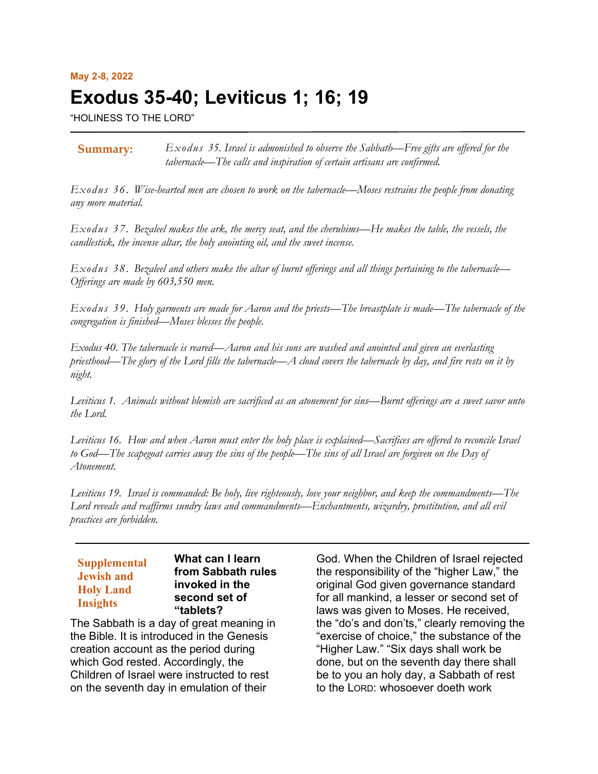# **May 2-8, 2022 Exodus 35-40; Leviticus 1; 16; 19**

"HOLINESS TO THE LORD"

*Exodus 35. Israel is admonished to observe the Sabbath—Free gifts are offered for the tabernacle—The calls and inspiration of certain artisans are confirmed.* **Summary:**

*Exodus 36. Wise-hearted men are chosen to work on the tabernacle—Moses restrains the people from donating any more material.*

*Exodus 37. Bezaleel makes the ark, the mercy seat, and the cherubims—He makes the table, the vessels, the candlestick, the incense altar, the holy anointing oil, and the sweet incense.*

*Exodus 38. Bezaleel and others make the altar of burnt offerings and all things pertaining to the tabernacle— Offerings are made by 603,550 men.*

*Exodus 39. Holy garments are made for Aaron and the priests—The breastplate is made—The tabernacle of the congregation is finished—Moses blesses the people.*

*Exodus 40. The tabernacle is reared—Aaron and his sons are washed and anointed and given an everlasting priesthood—The glory of the Lord fills the tabernacle—A cloud covers the tabernacle by day, and fire rests on it by night.*

*Leviticus 1. Animals without blemish are sacrificed as an atonement for sins—Burnt offerings are a sweet savor unto the Lord.*

*Leviticus 16. How and when Aaron must enter the holy place is explained—Sacrifices are offered to reconcile Israel to God—The scapegoat carries away the sins of the people—The sins of all Israel are forgiven on the Day of Atonement.* 

*Leviticus 19. Israel is commanded: Be holy, live righteously, love your neighbor, and keep the commandments—The Lord reveals and reaffirms sundry laws and commandments—Enchantments, wizardry, prostitution, and all evil practices are forbidden.*

#### **What can I learn from Sabbath rules invoked in the second set of "tablets? Supplemental Jewish and Holy Land Insights**

The Sabbath is a day of great meaning in the Bible. It is introduced in the Genesis creation account as the period during which God rested. Accordingly, the Children of Israel were instructed to rest on the seventh day in emulation of their

God. When the Children of Israel rejected the responsibility of the "higher Law," the original God given governance standard for all mankind, a lesser or second set of laws was given to Moses. He received, the "do's and don'ts," clearly removing the "exercise of choice," the substance of the "Higher Law." "Six days shall work be done, but on the seventh day there shall be to you an holy day, a Sabbath of rest to the LORD: whosoever doeth work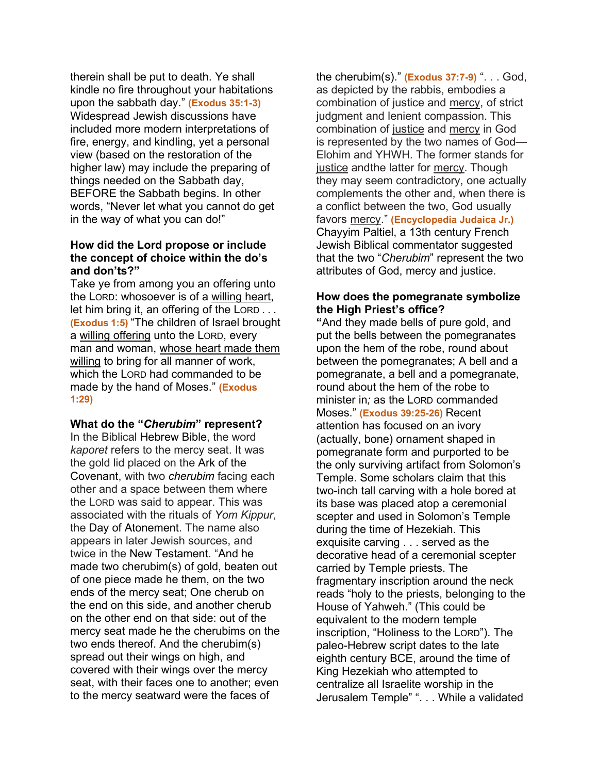therein shall be put to death. Ye shall kindle no fire throughout your habitations upon the sabbath day." **(Exodus 35:1-3)** Widespread Jewish discussions have included more modern interpretations of fire, energy, and kindling, yet a personal view (based on the restoration of the higher law) may include the preparing of things needed on the Sabbath day, BEFORE the Sabbath begins. In other words, "Never let what you cannot do get in the way of what you can do!"

## **How did the Lord propose or include the concept of choice within the do's and don'ts?"**

Take ye from among you an offering unto the LORD: whosoever is of a willing heart, let him bring it, an offering of the LORD . . . **(Exodus 1:5)** "The children of Israel brought a willing offering unto the LORD, every man and woman, whose heart made them willing to bring for all manner of work, which the LORD had commanded to be made by the hand of Moses." **(Exodus 1:29)**

#### **What do the "***Cherubim***" represent?**

In the Biblical Hebrew Bible, the word *kaporet* refers to the mercy seat. It was the gold lid placed on the Ark of the Covenant, with two *cherubim* facing each other and a space between them where the LORD was said to appear. This was associated with the rituals of *Yom Kippur*, the Day of Atonement. The name also appears in later Jewish sources, and twice in the New Testament. "And he made two cherubim(s) of gold, beaten out of one piece made he them, on the two ends of the mercy seat; One cherub on the end on this side, and another cherub on the other end on that side: out of the mercy seat made he the cherubims on the two ends thereof. And the cherubim(s) spread out their wings on high, and covered with their wings over the mercy seat, with their faces one to another; even to the mercy seatward were the faces of

the cherubim(s)." **(Exodus 37:7-9)** ". . . God, as depicted by the rabbis, embodies a combination of justice and mercy, of strict judgment and lenient compassion. This combination of justice and mercy in God is represented by the two names of God— Elohim and YHWH. The former stands for justice andthe latter for mercy. Though they may seem contradictory, one actually complements the other and, when there is a conflict between the two, God usually favors mercy." **(Encyclopedia Judaica Jr.)** Chayyim Paltiel, a 13th century French Jewish Biblical commentator suggested that the two "*Cherubim*" represent the two attributes of God, mercy and justice.

# **How does the pomegranate symbolize the High Priest's office?**

**"**And they made bells of pure gold, and put the bells between the pomegranates upon the hem of the robe, round about between the pomegranates; A bell and a pomegranate, a bell and a pomegranate, round about the hem of the robe to minister in*;* as the LORD commanded Moses." **(Exodus 39:25-26)** Recent attention has focused on an ivory (actually, bone) ornament shaped in pomegranate form and purported to be the only surviving artifact from Solomon's Temple. Some scholars claim that this two-inch tall carving with a hole bored at its base was placed atop a ceremonial scepter and used in Solomon's Temple during the time of Hezekiah. This exquisite carving . . . served as the decorative head of a ceremonial scepter carried by Temple priests. The fragmentary inscription around the neck reads "holy to the priests, belonging to the House of Yahweh." (This could be equivalent to the modern temple inscription, "Holiness to the LORD"). The paleo-Hebrew script dates to the late eighth century BCE, around the time of King Hezekiah who attempted to centralize all Israelite worship in the Jerusalem Temple" ". . . While a validated